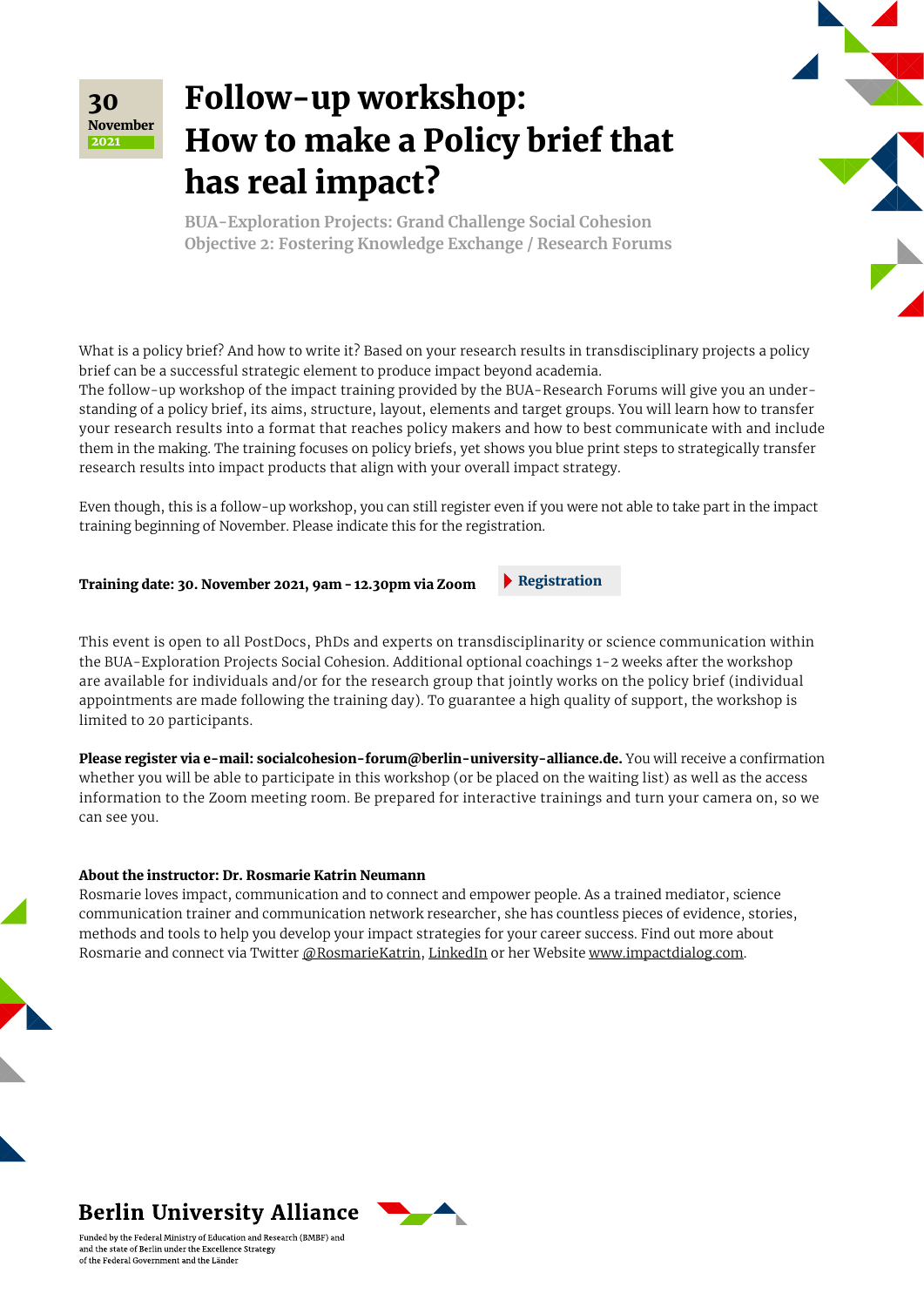

## Follow-up workshop: How to make a Policy brief that has real impact?

**BUA-Exploration Projects: Grand Challenge Social Cohesion Objective 2: Fostering Knowledge Exchange / Research Forums**

What is a policy brief? And how to write it? Based on your research results in transdisciplinary projects a policy brief can be a successful strategic element to produce impact beyond academia. The follow-up workshop of the impact training provided by the BUA-Research Forums will give you an understanding of a policy brief, its aims, structure, layout, elements and target groups. You will learn how to transfer your research results into a format that reaches policy makers and how to best communicate with and include them in the making. The training focuses on policy briefs, yet shows you blue print steps to strategically transfer research results into impact products that align with your overall impact strategy.

Even though, this is a follow-up workshop, you can still register even if you were not able to take part in the impact training beginning of November. Please indicate this for the registration.

**[Registration](mailto:socialcohesion-forum%40berlin-university-alliance.de?subject=Impact%20Training%20and%20%0Afocussed%20follow-up%20workshops%20//%202.%20November%202021)** 

### Training date: 30. November 2021, 9am - 12.30pm via Zoom

This event is open to all PostDocs, PhDs and experts on transdisciplinarity or science communication within the BUA-Exploration Projects Social Cohesion. Additional optional coachings 1-2 weeks after the workshop are available for individuals and/or for the research group that jointly works on the policy brief (individual appointments are made following the training day). To guarantee a high quality of support, the workshop is limited to 20 participants.

Please register via e-mail: [socialcohesion-forum@berlin-university-alliance.de.](mailto:socialcohesion-forum%40berlin-university-alliance.de?subject=Follow-up%20workshop) You will receive a confirmation whether you will be able to participate in this workshop (or be placed on the waiting list) as well as the access information to the Zoom meeting room. Be prepared for interactive trainings and turn your camera on, so we can see you.

### About the instructor: Dr. Rosmarie Katrin Neumann

Rosmarie loves impact, communication and to connect and empower people. As a trained mediator, science communication trainer and communication network researcher, she has countless pieces of evidence, stories, methods and tools to help you develop your impact strategies for your career success. Find out more about Rosmarie and connect via Twitter [@RosmarieKatrin](https://twitter.com/RosmarieKatrin), [LinkedIn](https://www.linkedin.com/in/dr-rosmarie-katrin-neumann-397a2286/) or her Website [www.impactdialog.com](http://www.impactdialog.com).

## **Berlin University Alliance**

Funded by the Federal Ministry of Education and Research (BMBF) and and the state of Berlin under the Excellence Strategy of the Federal Government and the Länder